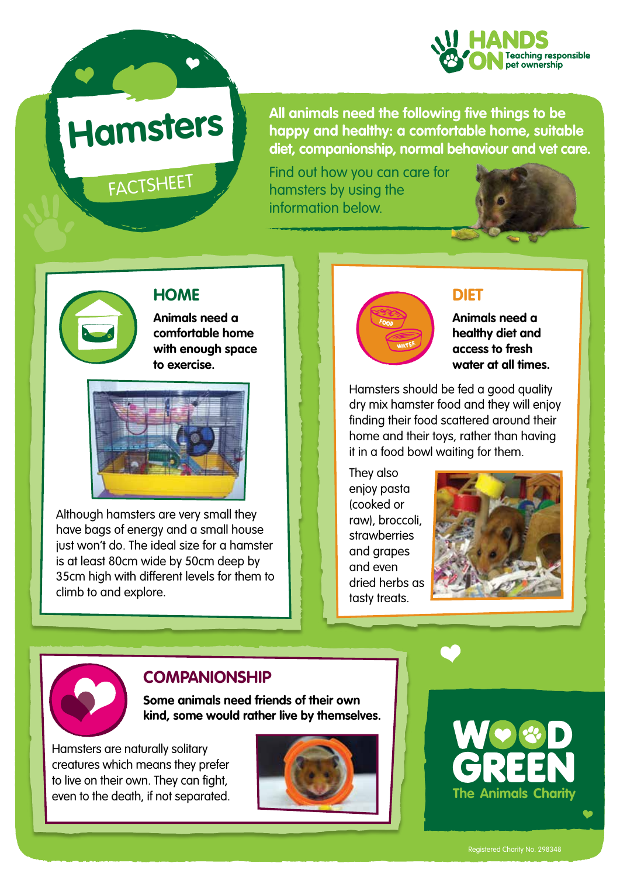

# **Hamsters**

**FACTSHEET** 

**All animals need the following five things to be happy and healthy: a comfortable home, suitable diet, companionship, normal behaviour and vet care.** 

Find out how you can care for hamsters by using the information below.





## **HOME**

**Animals need a comfortable home with enough space to exercise.** 



Although hamsters are very small they have bags of energy and a small house just won't do. The ideal size for a hamster is at least 80cm wide by 50cm deep by 35cm high with different levels for them to climb to and explore.



#### **DIET**

**Animals need a healthy diet and access to fresh water at all times.**

Hamsters should be fed a good quality dry mix hamster food and they will enjoy finding their food scattered around their home and their toys, rather than having it in a food bowl waiting for them.

They also enjoy pasta (cooked or raw), broccoli, strawberries and grapes and even dried herbs as tasty treats.





#### **COMPANIONSHIP**

**Some animals need friends of their own kind, some would rather live by themselves.** 

Hamsters are naturally solitary creatures which means they prefer to live on their own. They can fight, even to the death, if not separated.